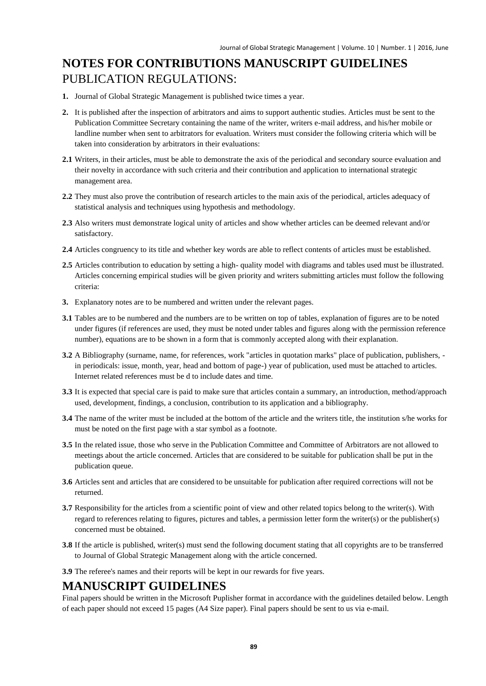# **NOTES FOR CONTRIBUTIONS MANUSCRIPT GUIDELINES** PUBLICATION REGULATIONS:

- **1.** Journal of Global Strategic Management is published twice times a year.
- **2.** It is published after the inspection of arbitrators and aims to support authentic studies. Articles must be sent to the Publication Committee Secretary containing the name of the writer, writers e-mail address, and his/her mobile or landline number when sent to arbitrators for evaluation. Writers must consider the following criteria which will be taken into consideration by arbitrators in their evaluations:
- **2.1** Writers, in their articles, must be able to demonstrate the axis of the periodical and secondary source evaluation and their novelty in accordance with such criteria and their contribution and application to international strategic management area.
- **2.2** They must also prove the contribution of research articles to the main axis of the periodical, articles adequacy of statistical analysis and techniques using hypothesis and methodology.
- **2.3** Also writers must demonstrate logical unity of articles and show whether articles can be deemed relevant and/or satisfactory.
- **2.4** Articles congruency to its title and whether key words are able to reflect contents of articles must be established.
- **2.5** Articles contribution to education by setting a high- quality model with diagrams and tables used must be illustrated. Articles concerning empirical studies will be given priority and writers submitting articles must follow the following criteria:
- **3.** Explanatory notes are to be numbered and written under the relevant pages.
- **3.1** Tables are to be numbered and the numbers are to be written on top of tables, explanation of figures are to be noted under figures (if references are used, they must be noted under tables and figures along with the permission reference number), equations are to be shown in a form that is commonly accepted along with their explanation.
- **3.2** A Bibliography (surname, name, for references, work "articles in quotation marks" place of publication, publishers, in periodicals: issue, month, year, head and bottom of page-) year of publication, used must be attached to articles. Internet related references must be d to include dates and time.
- **3.3** It is expected that special care is paid to make sure that articles contain a summary, an introduction, method/approach used, development, findings, a conclusion, contribution to its application and a bibliography.
- **3.4** The name of the writer must be included at the bottom of the article and the writers title, the institution s/he works for must be noted on the first page with a star symbol as a footnote.
- **3.5** In the related issue, those who serve in the Publication Committee and Committee of Arbitrators are not allowed to meetings about the article concerned. Articles that are considered to be suitable for publication shall be put in the publication queue.
- **3.6** Articles sent and articles that are considered to be unsuitable for publication after required corrections will not be returned.
- **3.7** Responsibility for the articles from a scientific point of view and other related topics belong to the writer(s). With regard to references relating to figures, pictures and tables, a permission letter form the writer(s) or the publisher(s) concerned must be obtained.
- **3.8** If the article is published, writer(s) must send the following document stating that all copyrights are to be transferred to Journal of Global Strategic Management along with the article concerned.
- **3.9** The referee's names and their reports will be kept in our rewards for five years.

#### **MANUSCRIPT GUIDELINES**

Final papers should be written in the Microsoft Puplisher format in accordance with the guidelines detailed below. Length of each paper should not exceed 15 pages (A4 Size paper). Final papers should be sent to us via e-mail.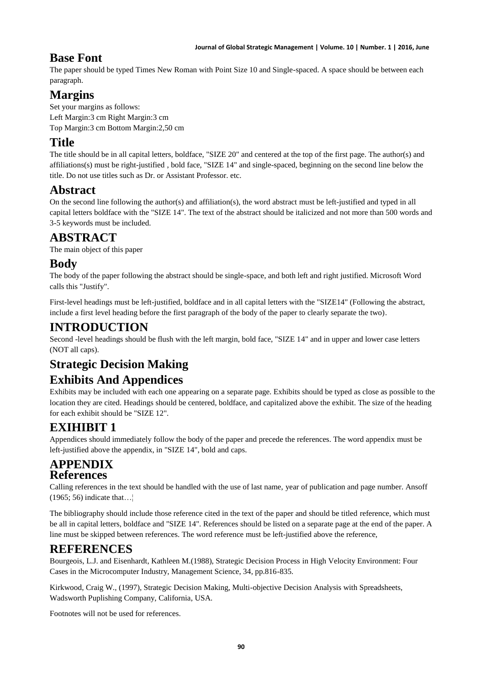## **Base Font**

The paper should be typed Times New Roman with Point Size 10 and Single-spaced. A space should be between each paragraph.

# **Margins**

Set your margins as follows: Left Margin:3 cm Right Margin:3 cm Top Margin:3 cm Bottom Margin:2,50 cm

## **Title**

The title should be in all capital letters, boldface, "SIZE 20" and centered at the top of the first page. The author(s) and affiliations(s) must be right-justified , bold face, "SIZE 14" and single-spaced, beginning on the second line below the title. Do not use titles such as Dr. or Assistant Professor. etc.

# **Abstract**

On the second line following the author(s) and affiliation(s), the word abstract must be left-justified and typed in all capital letters boldface with the "SIZE 14". The text of the abstract should be italicized and not more than 500 words and 3-5 keywords must be included.

# **ABSTRACT**

The main object of this paper

## **Body**

The body of the paper following the abstract should be single-space, and both left and right justified. Microsoft Word calls this "Justify".

First-level headings must be left-justified, boldface and in all capital letters with the "SIZE14" (Following the abstract, include a first level heading before the first paragraph of the body of the paper to clearly separate the two).

## **INTRODUCTION**

Second -level headings should be flush with the left margin, bold face, "SIZE 14" and in upper and lower case letters (NOT all caps).

# **Strategic Decision Making**

# **Exhibits And Appendices**

Exhibits may be included with each one appearing on a separate page. Exhibits should be typed as close as possible to the location they are cited. Headings should be centered, boldface, and capitalized above the exhibit. The size of the heading for each exhibit should be "SIZE 12".

# **EXIHIBIT 1**

Appendices should immediately follow the body of the paper and precede the references. The word appendix must be left-justified above the appendix, in "SIZE 14", bold and caps.

## **APPENDIX References**

Calling references in the text should be handled with the use of last name, year of publication and page number. Ansoff (1965; 56) indicate that…¦

The bibliography should include those reference cited in the text of the paper and should be titled reference, which must be all in capital letters, boldface and "SIZE 14". References should be listed on a separate page at the end of the paper. A line must be skipped between references. The word reference must be left-justified above the reference,

## **REFERENCES**

Bourgeois, L.J. and Eisenhardt, Kathleen M.(1988), Strategic Decision Process in High Velocity Environment: Four Cases in the Microcomputer Industry, Management Science, 34, pp.816-835.

Kirkwood, Craig W., (1997), Strategic Decision Making, Multi-objective Decision Analysis with Spreadsheets, Wadsworth Puplishing Company, California, USA.

Footnotes will not be used for references.